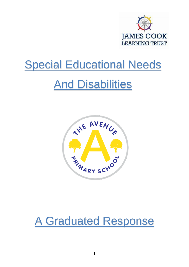

# **Special Educational Needs**

# **And Disabilities**



# A Graduated Response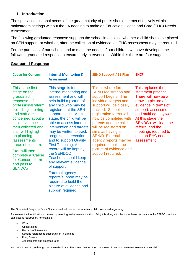### **1. Introduction**

The special educational needs of the great majority of pupils should be met effectively within mainstream settings without the LA needing to make an Education, Health and Care (EHC) Needs Assessment.

The following graduated response supports the school in deciding whether a child should be placed on SEN support, or whether, after the collection of evidence, an EHC assessment may be required.

For the purposes of our school, and to meet the needs of our children, we have developed the following graduated response to ensure early intervention. Within this there are four stages:

| <b>Cause for Concern</b>                                                                                                                                                                                                                                                                                                                                                 | <b>Internal Monitoring &amp;</b><br><b>Assessment</b>                                                                                                                                                                                                                                                                                                                                                                                                                                                                                                                                                                | <b>SEND Support / SS Plan</b>                                                                                                                                                                                                                                                                                                                                                                             | <b>EHCP</b>                                                                                                                                                                                                                                                                                       |
|--------------------------------------------------------------------------------------------------------------------------------------------------------------------------------------------------------------------------------------------------------------------------------------------------------------------------------------------------------------------------|----------------------------------------------------------------------------------------------------------------------------------------------------------------------------------------------------------------------------------------------------------------------------------------------------------------------------------------------------------------------------------------------------------------------------------------------------------------------------------------------------------------------------------------------------------------------------------------------------------------------|-----------------------------------------------------------------------------------------------------------------------------------------------------------------------------------------------------------------------------------------------------------------------------------------------------------------------------------------------------------------------------------------------------------|---------------------------------------------------------------------------------------------------------------------------------------------------------------------------------------------------------------------------------------------------------------------------------------------------|
| This is the first<br>stage on the<br>graduated<br>response. If<br>professional 'alarm<br>bells' begin to ring<br>and staff are<br>concerned about a<br>child, evidence is<br>then collected and<br>staff will highlight<br>on planning<br>/assessments<br>areas of concern.<br>Staff will then<br>complete a 'Cause<br>for Concern' form<br>and pass to<br><b>SENDCo</b> | This stage is for<br>internal monitoring and<br>assessment and will<br>help build a picture of<br>any child who may be<br>registered at the SEN<br>support stage. At this<br>stage, the child will be<br>able to access internal<br>intervention and targets<br>may be written to track<br>progress, intervention<br>and to support Quality<br><b>First Teaching. A</b><br>record will be kept by<br>the SENDCO.<br><b>Teachers should keep</b><br>any relevant evidence<br>of support.<br><b>External agency</b><br>reports/support may be<br>required to build the<br>picture of evidence and<br>support required. | This is where formal<br><b>SEND registration and</b><br>support begins. The<br>individual targets and<br>support will be closely<br>tracked. School<br>registration forms will<br>now be completed with<br>parents and the child<br>will be registered on<br>sims as having a<br><b>SEN/D. External</b><br>agency reports may be<br>required to build the<br>picture of evidence and<br>support required. | This replaces the<br>statement process.<br>There will now be a<br>growing picture of<br>evidence in terms of<br>support, assessments<br>and multi-agency work.<br>At this stage the<br><b>SENDCo</b> will lead the<br>referral and the<br>meetings required to<br>gain an EHC needs<br>assessment |

### **Graduated Response**

The Graduated Response Quick Guide should help determine whether a child does need registering.

Please use the identification document by referring to the relevant section. Bring this along with classroom based evidence to the SENDCo and we can discuss registration, for example:

- **Work**
- **Observations**
- Records of intervention
- Specific reference to support given in planning
- Diary Sheets
- Assessments and progress rates

You do not need to go through the whole Graduated Response, just focus on the area/s of need that are most relevant to the child.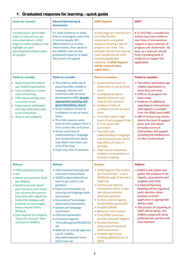## **1. Graduated response for learning – quick guide**

| <b>Cause for Concern</b>                                                                                                                                                                                                                                                                                                                                                                | <b>Internal Monitoring &amp;</b><br><b>Assessment</b>                                                                                                                                                                                                                                                                                                                                                                                                                                                                                     | <b>SEND Support</b>                                                                                                                                                                                                                                                                                                                                                                                                                                                                                                    | <b>EHCP</b>                                                                                                                                                                                                                                                                                                                                                                                                                              |
|-----------------------------------------------------------------------------------------------------------------------------------------------------------------------------------------------------------------------------------------------------------------------------------------------------------------------------------------------------------------------------------------|-------------------------------------------------------------------------------------------------------------------------------------------------------------------------------------------------------------------------------------------------------------------------------------------------------------------------------------------------------------------------------------------------------------------------------------------------------------------------------------------------------------------------------------------|------------------------------------------------------------------------------------------------------------------------------------------------------------------------------------------------------------------------------------------------------------------------------------------------------------------------------------------------------------------------------------------------------------------------------------------------------------------------------------------------------------------------|------------------------------------------------------------------------------------------------------------------------------------------------------------------------------------------------------------------------------------------------------------------------------------------------------------------------------------------------------------------------------------------------------------------------------------------|
| If professional 'alarm bells'<br>begin to ring and you are<br>concerned about a child<br>begin to collect evidence and<br>highlight on your<br>planning/assessments areas<br>of concern                                                                                                                                                                                                 | If a child continues to make<br>little or no progress over time<br>(2 terms) despite QFT,<br>differentiation or in class<br>interventions, then speak to<br>the SENDCo and use the<br>graduated response to begin<br>the process of support                                                                                                                                                                                                                                                                                               | At this stage we need to carry<br>out initial/further<br>assessments and gather<br>evidence showing a lack of<br>progress over time. This<br>shouldn't be the first time we<br>have considered the child<br>using the graduated<br>response. A SEND Support<br>will be required upon<br>registration.                                                                                                                                                                                                                  | If an EHC Plan is needed the<br>school must have evidence<br>over time of interventions,<br>support in place and lack of<br>progress and attainment. By<br>now, as a team we should<br>have a growing bank of<br>evidence to support the<br>application                                                                                                                                                                                  |
| <b>Points to consider:</b>                                                                                                                                                                                                                                                                                                                                                              | <b>Points to consider:</b>                                                                                                                                                                                                                                                                                                                                                                                                                                                                                                                | <b>Points to consider:</b>                                                                                                                                                                                                                                                                                                                                                                                                                                                                                             | <b>Points to consider:</b>                                                                                                                                                                                                                                                                                                                                                                                                               |
| • Beginning to fall behind<br>age related expectations<br>• Lack confidence in some<br>areas of learning<br>• Difficulty accessing some<br>curriculum areas<br>Pupil may be withdrawn<br>$\bullet$<br>and have difficulties with<br>social interaction<br>• Slow or zero progress                                                                                                       | • The child has difficulty in<br>acquiring skills notably in<br>language, literacy and<br>numeracy skills (or early<br>development skills) despite<br>appropriate teaching and<br>good attendance record<br>• Some evidence of lack of<br>confidence in one or more<br>areas<br>• The child requires some<br>level of extra support from a<br>TA to access the curriculum<br>• Shows some lack of<br>understanding in language<br>and comprehension which<br>may affect more than one<br>area of learning<br>• Pupil may show frustration | • Sustained low levels of<br>attainment in one or more<br>areas<br>• Inadequate progress<br>despite classroom and<br>internal interventions<br>Evidence of lack of<br>$\bullet$<br>confidence in one or more<br>areas<br>• The child requires high<br>levels of extra support from<br>a TA to access the<br>curriculum<br>The child lacks<br>understanding in language<br>and comprehension which<br>may affect all areas of<br>learning<br>Pupil may be withdrawn,<br>isolated, uncooperative or<br>attention seeking | • The child is well below age<br>related expectations in<br>more than one area<br>• Little or no progress has<br>been made<br>• Evidence of additional<br>spending on interventions<br>and support is available<br>from the SEND team (HNF)<br>• HNF Provision map shows<br>clearly the level of support<br>given over and above<br>everyday norms of<br>intervention and support<br>including the involvement<br>of other professionals |
| <b>Actions:</b>                                                                                                                                                                                                                                                                                                                                                                         | <b>Actions:</b>                                                                                                                                                                                                                                                                                                                                                                                                                                                                                                                           | <b>Actions:</b>                                                                                                                                                                                                                                                                                                                                                                                                                                                                                                        | <b>Actions:</b>                                                                                                                                                                                                                                                                                                                                                                                                                          |
| · Differentiated learning<br>$\bullet$ QFT<br>• Advice and guidance from<br>the SENDCo<br>• Speak to parents about<br>your concerns and record<br>any concerns the parents<br>may have with regards to<br>home (this dialogue will<br>continue at every stage).<br>Keep a record of this<br>dialogue.<br>• Class teacher to complete<br>'Cause for Concern' form<br>and pass to SENDCo. | • Differentiated learning and<br>classroom interventions<br>• SENDCo observation/book<br>look to give advice and<br>guidance<br>• External assessment e.g.<br>Learning and language team<br>assessment<br>• Educational Psychologist<br>observation/assessment<br>• Speech and language<br>assessment<br>• Internal intervention<br>• Emotional Support:<br>Thrive/Bungalow/Mind/ELSA<br>etc<br>• Referrals to outside agencies<br>e.g OT, CAMHs,<br>Neurodevelopment team,<br>HI/VI team etc                                             | • SEND Support Plan drafted<br>(on Trust format - unless<br>Middlesbrough LA format is<br>required).<br>• Internal and external<br>intervention which is over<br>and above everyday<br>classroom practice<br>• Further external agency<br>involvement/assessment<br>• Possible CAMHS<br>• Behaviour Intervention<br>• Trust SEND Lead may<br>provide Outreach Support<br>• Possible Common<br><b>Assessment Framework</b><br>(CAF) assessment<br>• Possible High Needs<br>Funding application to LA<br>(HNF)           | • SENDCo will collate and<br>gather the evidence from<br>reports, assessments and<br>progress over time.<br>• A Referral Planning<br>Meeting will be organised<br>and a decision about<br>whether an EHCP<br>application is appropriate<br>will be made<br>• The process of acquiring an<br>EHCP will be led by the<br>SENDCo along with other<br>professionals, parents and<br>class teachers                                           |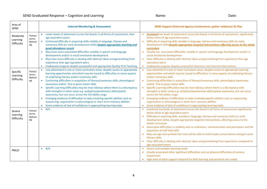| Area of<br><b>SEND</b>             |                                         | <b>Internal Monitoring &amp; Assessment</b>                                                                                                                                                                                                                                                                                                                                                                                                                                                                                                                                                                                                                                                                                                                                                                                                          | SEND Support (External Agency Involvement, gather evidence) SS Plan                                                                                                                                                                                                                                                                                                                                                                                                                                                                                                                                                                                                                                                                                                                                                                                               |
|------------------------------------|-----------------------------------------|------------------------------------------------------------------------------------------------------------------------------------------------------------------------------------------------------------------------------------------------------------------------------------------------------------------------------------------------------------------------------------------------------------------------------------------------------------------------------------------------------------------------------------------------------------------------------------------------------------------------------------------------------------------------------------------------------------------------------------------------------------------------------------------------------------------------------------------------------|-------------------------------------------------------------------------------------------------------------------------------------------------------------------------------------------------------------------------------------------------------------------------------------------------------------------------------------------------------------------------------------------------------------------------------------------------------------------------------------------------------------------------------------------------------------------------------------------------------------------------------------------------------------------------------------------------------------------------------------------------------------------------------------------------------------------------------------------------------------------|
| Moderate<br>Learning<br>Difficulty | Points/<br>terms<br>Behind<br><b>NE</b> | Lower levels of attainment across the board, in all forms of assessment, than<br>age equivalent peers.<br>Continued difficulty in acquiring skills notably in language, literacy and<br>$\bullet$<br>numeracy skills (or early development skills) despite appropriate teaching and<br>good attendance record<br>May have some associated difficulties notably in speech and language<br>$\bullet$<br>development and/or in social emotional development<br>May have more difficulty in dealing with abstract ideas and generalising from<br>$\bullet$<br>experience than age equivalent peers<br>Inadequate progress despite purposeful and appropriate Quality First Teaching<br>$\bullet$                                                                                                                                                         | Sustained low levels of attainment across the board, in all forms of assessment, significantly<br>below those of age equivalent peers.<br>Difficulty in acquiring skills notably in language, literacy and numeracy skills (or early<br>$\bullet$<br>development skills) despite appropriate targeted interventions affecting access to the whole<br>curriculum<br>Usually has associated difficulties notably in speech and language development and/or in<br>$\bullet$<br>social emotional development<br>Clear difficulty in dealing with abstract ideas and generalising from experience than age<br>$\bullet$<br>equivalent peers<br>Inadequate progress despite purposeful classroom and internal interventions<br>$\bullet$                                                                                                                                |
| Specific<br>Learning<br>Difficulty | Points/<br>terms<br>Behind<br><b>NE</b> | Low attainment in one or more curriculum areas, despite access to appropriate<br>learning opportunities and which may be traced to difficulties in some aspects<br>of underlying literacy and/or numeracy skills<br>Continuing difficulties in acquisition of literacy/numeracy skills, phonological<br>$\bullet$<br>awareness and/or fine or gross motor skills<br>Specific Learning Difficulties may be most obvious where there is a discrepancy<br>with strengths in other areas e.g. verbal/comprehension skills/spatial<br>awareness, but can occur across the full ability range<br>Emerging evidence of difficulties in tasks involving specific abilities such as<br>$\bullet$<br>sequencing, organisation or phonological or short-term memory abilities<br>Some evidence of lack of confidence in approaching learning tasks<br>$\bullet$ | Low attainment in one or more curriculum areas, despite access to appropriate learning<br>$\bullet$<br>opportunities and which may be traced to difficulties in some aspects of underlying literacy<br>and/or numeracy skills<br>Continuing difficulties in acquisition of literacy/numeracy skills, phonological awareness<br>$\bullet$<br>and/or fine or gross motor skills<br>Specific Learning Difficulties may be most obvious where there is a discrepancy with<br>$\bullet$<br>strengths in other areas e.g. verbal/comprehension skills/spatial awareness, but can occur<br>across the full ability range<br>Emerging evidence of difficulties in tasks involving specific abilities such as sequencing,<br>$\bullet$<br>organisation or phonological or short-term memory abilities<br>Some evidence of lack of confidence in approaching learning tasks |
| Severe<br>Learning<br>Difficulty   | Points/<br>terms<br>Behind<br><b>NE</b> | N/A<br>$\bullet$                                                                                                                                                                                                                                                                                                                                                                                                                                                                                                                                                                                                                                                                                                                                                                                                                                     | Sustained low levels of attainment across the board in all forms of assessment significantly<br>below those of age equivalent peers<br>Difficulty in acquiring skills, notably in language, literacy and numeracy skills (or early<br>$\bullet$<br>development skills), despite appropriate targeted interventions, affecting access to the<br>whole curriculum<br>Associated difficulties in mobility and co-ordination, communication and perception and the<br>acquisition of self-help skills<br>May use sign and symbols but most will be able to hold simple conversations and gain some<br>literacy skills<br>Clear difficulty in dealing with abstract ideas and generalising from experience compared to<br>age equivalent peers                                                                                                                         |
| PMLD                               |                                         | $\bullet$ N/A                                                                                                                                                                                                                                                                                                                                                                                                                                                                                                                                                                                                                                                                                                                                                                                                                                        | • Severe and complex learning needs<br>Usually associated other significant difficulties such as physical difficulties of sensory<br>impairment<br>• High level of adult support required for both learning and personal care needs                                                                                                                                                                                                                                                                                                                                                                                                                                                                                                                                                                                                                               |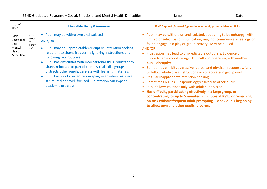| Area of<br><b>SEND</b>                                                |                                        | <b>Internal Monitoring &amp; Assessment</b>                                                                                                                                                                                                                                                                                                                                                                                                                                                                                               | SEND Support (External Agency Involvement, gather evidence) SS Plan                                                                                                                                                                                                                                                                                                                                                                                                                                                                                                                                                                                                                                                                                                                                                                                                                                                                                   |
|-----------------------------------------------------------------------|----------------------------------------|-------------------------------------------------------------------------------------------------------------------------------------------------------------------------------------------------------------------------------------------------------------------------------------------------------------------------------------------------------------------------------------------------------------------------------------------------------------------------------------------------------------------------------------------|-------------------------------------------------------------------------------------------------------------------------------------------------------------------------------------------------------------------------------------------------------------------------------------------------------------------------------------------------------------------------------------------------------------------------------------------------------------------------------------------------------------------------------------------------------------------------------------------------------------------------------------------------------------------------------------------------------------------------------------------------------------------------------------------------------------------------------------------------------------------------------------------------------------------------------------------------------|
| Social<br>Emotional<br>and<br>Mental<br>Health<br><b>Difficulties</b> | PIVAT<br>Level<br>for<br>behavi<br>our | • Pupil may be withdrawn and isolated<br>AND/OR<br>• Pupil may be unpredictable/disruptive, attention seeking,<br>reluctant to share, frequently ignoring instructions and<br>following few routines<br>• Pupil has difficulties with interpersonal skills, reluctant to<br>share, reluctant to participate in social skills groups,<br>distracts other pupils, careless with learning materials<br>• Pupil has short concentration span, even when tasks are<br>structured and well-focused. Frustration can impede<br>academic progress | Pupil may be withdrawn and isolated, appearing to be unhappy, with<br>$\bullet$<br>limited or selective communication, may not communicate feelings or<br>fail to engage in a play or group activity. May be bullied<br>AND/OR<br>Frustration may lead to unpredictable outbursts. Evidence of<br>unpredictable mood swings. Difficulty co-operating with another<br>pupil, disruptive<br>Sometimes exhibits aggressive (verbal and physical) responses, fails<br>to follow whole class instructions or collaborate in group work<br>Regular inappropriate attention-seeking<br>Sometimes bullies. Responds aggressively to other pupils<br>Pupil follows routines only with adult supervision<br>Has difficulty participating effectively in a large group, or<br>concentrating for up to 5 minutes (2 minutes at KS1), or remaining<br>on task without frequent adult prompting. Behaviour is beginning<br>to affect own and other pupils' progress |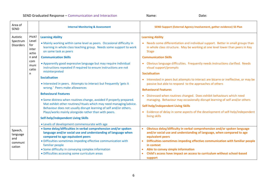| Area of<br><b>SEND</b>                          |                                                                                      | <b>Internal Monitoring &amp; Assessment</b>                                                                                                                                                                                                                                                                                                                                                                                                                                                                                                                                                                                                                                                                                                                                                                                                                               | SEND Support (External Agency Involvement, gather evidence) SS Plan                                                                                                                                                                                                                                                                                                                                                                                                                                                                                                                                                                                                                                                                                                                                                                                                    |
|-------------------------------------------------|--------------------------------------------------------------------------------------|---------------------------------------------------------------------------------------------------------------------------------------------------------------------------------------------------------------------------------------------------------------------------------------------------------------------------------------------------------------------------------------------------------------------------------------------------------------------------------------------------------------------------------------------------------------------------------------------------------------------------------------------------------------------------------------------------------------------------------------------------------------------------------------------------------------------------------------------------------------------------|------------------------------------------------------------------------------------------------------------------------------------------------------------------------------------------------------------------------------------------------------------------------------------------------------------------------------------------------------------------------------------------------------------------------------------------------------------------------------------------------------------------------------------------------------------------------------------------------------------------------------------------------------------------------------------------------------------------------------------------------------------------------------------------------------------------------------------------------------------------------|
| Autistic<br>Spectrum<br><b>Disorders</b>        | <b>PIVAT</b><br>Level<br>for<br>inter<br>actio<br>n and<br>com<br>muni<br>catio<br>n | <b>Learning Ability</b><br>. Mainly working within same level as peers. Occasional difficulty in<br>learning in whole class teaching group. Needs some support to work<br>on same task as peers<br><b>Communication Skills</b><br>• Apparently good expressive language but may require individual<br>instructions repeated if required to ensure instructions are not<br>misinterpreted<br><b>Socialisation</b><br>• Interested in peers. Attempts to interact but frequently 'gets it<br>wrong.' Peers make allowances<br><b>Behavioural Features</b><br>• Some distress when routines change, avoided if properly prepared.<br>Mat exhibit other routines/rituals which may need managing/advice.<br>Behaviour does not usually disrupt learning of self and/or others.<br>Plays/works mainly alongside rather than with peers.<br>Self-help/independent Living Skills | <b>Learning Ability</b><br>• Needs some differentiation and individual support. Better in small groups than<br>in whole class structure. May be working at one level lower than peers in Key<br><b>Stage</b><br><b>Communication Skills</b><br>• Obvious language difficulties. Frequently needs instructions clarified. Needs<br>visual support/prompts<br><b>Socialisation</b><br>• Interested in peers but attempts to interact are bizarre or ineffective, or may be<br>passive but able to respond to the approaches of others<br><b>Behavioural Features</b><br>• Distressed when routines changed. Does exhibit behaviours which need<br>managing. Behaviour may occasionally disrupt learning of self and/or others<br>Self-help/independent Living Skills<br>• Evidence of delay in some aspects of the development of self-help/independent<br>living skills |
| Speech,<br>language<br>and<br>communi<br>cation |                                                                                      | • Levels of development commensurate with age<br>• Some delay/difficulties in verbal comprehension and/or spoken<br>language and/or social use and understanding of language when<br>compared to age equivalent peers<br>· Difficulties sometimes impeding effective communication with<br>familiar people<br>• Some difficulty in conveying complex information<br>• Difficulties accessing some curriculum areas                                                                                                                                                                                                                                                                                                                                                                                                                                                        | Obvious delay/difficulty in verbal comprehension and/or spoken language<br>$\bullet$<br>and/or social use and understanding of language, when compared to age<br>equivalent peers<br>Difficulties sometimes impeding effective communication with familiar people<br>in context<br>Able to convey simple information<br>Child's access have impact on access to curriculum without school-based<br>support                                                                                                                                                                                                                                                                                                                                                                                                                                                             |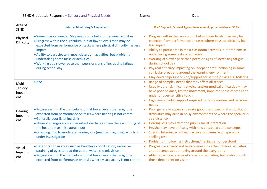| Area of<br><b>SEND</b>              | <b>Internal Monitoring &amp; Assessment</b>                                                                                                                                                                                                                                                                                                                                                                                              | SEND Support (External Agency Involvement, gather evidence) SS Plan                                                                                                                                                                                                                                                                                                                                                                                                                                                                                                           |
|-------------------------------------|------------------------------------------------------------------------------------------------------------------------------------------------------------------------------------------------------------------------------------------------------------------------------------------------------------------------------------------------------------------------------------------------------------------------------------------|-------------------------------------------------------------------------------------------------------------------------------------------------------------------------------------------------------------------------------------------------------------------------------------------------------------------------------------------------------------------------------------------------------------------------------------------------------------------------------------------------------------------------------------------------------------------------------|
| Physical<br>Difficulty              | • Some physical needs. May need some help for personal activities<br>. Progress within the curriculum, but at lower levels than may be<br>expected from performance on tasks where physical difficulty has less<br>impact<br>. Ability to participate in most classroom activities, but problems in<br>undertaking some tasks or activities<br>. Working at a slower pace than peers or signs of increasing fatigue<br>during school day | Progress within the curriculum, but at lower levels than may be<br>expected from performance on tasks where physical difficulty has<br>less impact<br>Ability to participate in most classroom activities, but problems in<br>undertaking some tasks or activities<br>Working at slower pace than peers or signs of increasing fatigue<br>during school day<br>Physical difficulty impacting on independent functioning in some<br>curricular areas and around the learning environment<br>May need help/supervision/support for self-help skills e.g. toileting<br>$\bullet$ |
| Multi-<br>sensory<br>impairm<br>ent | $\bullet$ N/A                                                                                                                                                                                                                                                                                                                                                                                                                            | Range of complex needs that may affect all senses<br>Usually other significant physical and/or medical difficulties - may<br>have poor balance, limited movement, impaired sense of smell and<br>under or over-sensitive touch<br>High level of adult support required for both learning and personal<br>needs                                                                                                                                                                                                                                                                |
| Hearing<br>Impairm<br>ent           | . Progress within the curriculum, but at lower levels than might be<br>expected from performance on tasks where hearing is not central<br>• Generally poor listening skills<br>. Physical changes such as persistent discharges from the ears, tilting of<br>the head to maximise aural input<br>• On-going mild to moderate hearing loss (medical diagnosis), which is<br>under investigation                                           | Pupil generally appears to make good use of personal aids, though<br>$\bullet$<br>difficulties may arise in noisy environments or where the speaker is<br>at a distance<br>Hearing loss may affect the pupil's social interaction<br>He/she may have difficulty with new vocabulary and concepts<br>$\bullet$<br>Specific listening activities may give problems, e.g. tape work,<br>spelling test<br>Problems in following instructions/making self-understood<br>$\bullet$                                                                                                  |
| Visual<br>Impairm<br>ent            | · Deterioration in areas such as hand/eye coordination, excessive<br>straining of eyes to read the board, watch the television<br>. Progress within the curriculum, but at lower levels than might be<br>expected from performance on tasks where visual acuity is not central                                                                                                                                                           | Progressive anxiety and tentativeness in certain physical activities<br>and reticence about moving around the playground<br>Able to participate in most classroom activities, but problems with<br>$\bullet$<br>those dependent on vision                                                                                                                                                                                                                                                                                                                                     |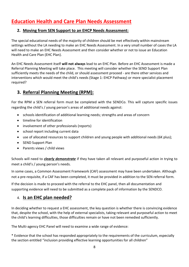# **Education Health and Care Plan Needs Assessment**

### **2. Moving from SEN Support to an EHCP Needs Assessment:**

The special educational needs of the majority of children should be met effectively within mainstream settings without the LA needing to make an EHC Needs Assessment. In a very small number of cases the LA will need to make an EHC Needs Assessment and then consider whether or not to issue an Education Health and Care Plan (EHC Plan).

An EHC Needs Assessment itself **will not always** lead to an EHC Plan. Before an EHC Assessment is made a Referral Planning Meeting will take place. This meeting will consider whether the SEND Support Plan sufficiently meets the needs of the child, or should assessment proceed - are there other services and interventions which would meet the child's needs (Stage 1: EHCP Pathway) or more specialist placement required?

## **3. Referral Planning Meeting (RPM):**

For the RPM a SEN referral form must be completed with the SENDCo. This will capture specific issues regarding the child's / young person's areas of additional needs against:

- schools identification of additional learning needs; strengths and areas of concern
- timeline for identification
- involvement of other professionals (reports)
- school report including current data
- use of allocated resources to support children and young people with additional needs (6K plus);
- SEND Support Plan
- Parents views / child views

Schools will need to *clearly demonstrate* if they have taken all relevant and purposeful action in trying to meet a child's / young person's needs.

In some cases, a Common Assessment Framework (CAF) assessment may have been undertaken. Although not a pre-requisite, if a CAF has been completed, it must be provided in addition to the SEN referral form.

If the decision is made to proceed with the referral to the EHC panel, then all documentation and supporting evidence will need to be submitted as a complete pack of information by the SENDCO.

## 4. **Is an EHC plan needed?**

In deciding whether to request a EHC assessment, the key question is whether there is convincing evidence that, despite the school, with the help of external specialists, taking relevant and purposeful action to meet the child's learning difficulties, those difficulties remain or have not been remedied sufficiently.

The Multi-agency EHC Panel will need to examine a wide range of evidence:

\* Evidence that the school has responded appropriately to the requirements of the curriculum, especially the section entitled "inclusion providing effective learning opportunities for all children"